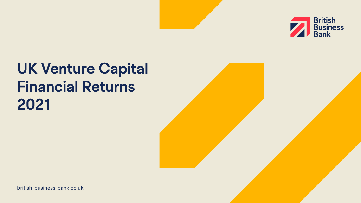[british-business-bank.co.uk](https://www.british-business-bank.co.uk)



# **UK Venture Capital Financial Returns 2021**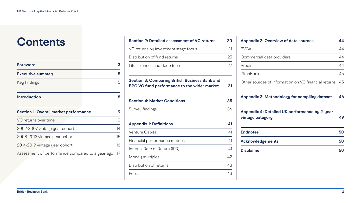# **Contents**

| <b>Foreword</b>                                  | 3  |
|--------------------------------------------------|----|
| <b>Executive summary</b>                         | 5  |
| Key findings                                     | 5  |
| <b>Introduction</b>                              | 8  |
| <b>Section 1: Overall market performance</b>     | 9  |
| VC returns over time                             | 10 |
| 2002-2007 vintage year cohort                    | 14 |
| 2008-2013 vintage year cohort                    | 15 |
| 2014-2019 vintage year cohort                    | 16 |
| Assessment of performance compared to a year ago | 17 |

| <b>Section 2: Detailed assessment of VC returns</b>                                                         | 20 | <b>Appendix 2: Ove</b>                     |
|-------------------------------------------------------------------------------------------------------------|----|--------------------------------------------|
| VC returns by investment stage focus                                                                        | 21 | <b>BVCA</b>                                |
| Distribution of fund returns                                                                                | 25 | Commercial data                            |
| Life sciences and deep tech                                                                                 | 27 | Preqin                                     |
|                                                                                                             |    | PitchBook                                  |
| <b>Section 3: Comparing British Business Bank and</b><br><b>BPC VC fund performance to the wider market</b> | 31 | Other sources of                           |
| <b>Section 4: Market Conditions</b>                                                                         | 35 | <b>Appendix 3: Met</b>                     |
| Survey findings                                                                                             | 36 | <b>Appendix 4: Det</b><br>vintage category |
| <b>Appendix 1: Definitions</b>                                                                              | 41 |                                            |
| Venture Capital                                                                                             | 41 | <b>Endnotes</b>                            |
| Financial performance metrics                                                                               | 41 | Acknowledgeme                              |
| Internal Rate of Return (IRR)                                                                               | 41 | <b>Disclaimer</b>                          |
| Money multiples                                                                                             | 42 |                                            |
| Distribution of returns                                                                                     | 43 |                                            |
| Fees                                                                                                        | 43 |                                            |
|                                                                                                             |    |                                            |

| <b>Appendix 2: Overview of data sources</b>                       | 44 |
|-------------------------------------------------------------------|----|
| <b>BVCA</b>                                                       | 44 |
| Commercial data providers                                         | 44 |
| Pregin                                                            | 44 |
| PitchBook                                                         | 45 |
| Other sources of information on VC financial returns              | 45 |
| <b>Appendix 3: Methodology for compiling dataset</b>              | 46 |
| Appendix 4: Detailed UK performance by 2-year<br>vintage category | 49 |
| <b>Endnotes</b>                                                   | 50 |
| <b>Acknowledgements</b>                                           | 50 |
| <b>Disclaimer</b>                                                 | 50 |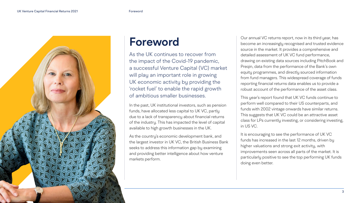## <span id="page-2-0"></span>**Foreword**

As the UK continues to recover from the impact of the Covid-19 pandemic, a successful Venture Capital (VC) market will play an important role in growing UK economic activity by providing the 'rocket fuel' to enable the rapid growth of ambitious smaller businesses.

In the past, UK institutional investors, such as pension funds, have allocated less capital to UK VC, partly due to a lack of transparency about financial returns of the industry. This has impacted the level of capital available to high growth businesses in the UK.

As the country's economic development bank, and the largest investor in UK VC, the British Business Bank seeks to address this information gap by examining and providing better intelligence about how venture markets perform.

Our annual VC returns report, now in its third year, has become an increasingly recognised and trusted evidence source in the market. It provides a comprehensive and detailed assessment of UK VC fund performance, drawing on existing data sources including PitchBook and Preqin, data from the performance of the Bank's own equity programmes, and directly sourced information from fund managers. This widespread coverage of funds reporting financial returns data enables us to provide a robust account of the performance of the asset class.

This year's report found that UK VC funds continue to perform well compared to their US counterparts, and funds with 2002 vintage onwards have similar returns. This suggests that UK VC could be an attractive asset class for LPs currently investing, or considering investing, in US VC.

It is encouraging to see the performance of UK VC funds has increased in the last 12 months, driven by higher valuations and strong exit activity, with improvements seen across all parts of the market. It is particularly positive to see the top performing UK funds doing even better.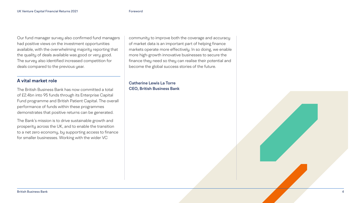Our fund manager survey also confirmed fund managers had positive views on the investment opportunities available, with the overwhelming majority reporting that the quality of deals available was good or very good. The survey also identified increased competition for deals compared to the previous year.

### **A vital market role**

The British Business Bank has now committed a total of £2.4bn into 95 funds through its Enterprise Capital Fund programme and British Patient Capital. The overall performance of funds within these programmes demonstrates that positive returns can be generated.

The Bank's mission is to drive sustainable growth and prosperity across the UK, and to enable the transition to a net zero economy, by supporting access to finance for smaller businesses. Working with the wider VC

community to improve both the coverage and accuracy of market data is an important part of helping finance markets operate more effectively. In so doing, we enable more high-growth innovative businesses to secure the finance they need so they can realise their potential and become the global success stories of the future.

### **Catherine Lewis La Torre CEO, British Business Bank**

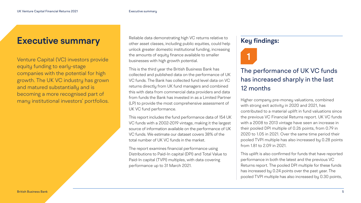### <span id="page-4-0"></span>**Executive summary**

Venture Capital (VC) investors provide equity funding to early-stage companies with the potential for high growth. The UK VC industry has grown and matured substantially and is becoming a more recognised part of many institutional investors' portfolios.

Reliable data demonstrating high VC returns relative to other asset classes, including public equities, could help unlock greater domestic institutional funding, increasing the amounts of equity finance available to smaller businesses with high growth potential.

This is the third year the British Business Bank has collected and published data on the performance of UK VC funds. The Bank has collected fund level data on VC returns directly from UK fund managers and combined this with data from commercial data providers and data from funds the Bank has invested in as a Limited Partner (LP) to provide the most comprehensive assessment of UK VC fund performance.

This report includes the fund performance data of 154 UK VC funds with a 2002-2019 vintage, making it the largest source of information available on the performance of UK VC funds. We estimate our dataset covers 38% of the total number of UK VC funds in the market.

The report examines financial performance using Distributions to Paid-In capital (DPI) and Total Value to Paid-In capital (TVPI) multiples, with data covering performance up to 31 March 2021.

### **Key findings:**



### The performance of UK VC funds has increased sharply in the last 12 months

Higher company pre-money valuations, combined with strong exit activity in 2020 and 2021, has contributed to a material uplift in fund valuations since the previous VC Financial Returns report. UK VC funds with a 2008 to 2013 vintage have seen an increase in their pooled DPI multiple of 0.26 points, from 0.79 in 2020 to 1.05 in 2021. Over the same time period their pooled TVPI multiple has also increased by 0.28 points from 1.81 to 2.09 in 2021.

This uplift is also confirmed for funds that have reported performance in both the latest and the previous VC Returns report. The pooled DPI multiple for these funds has increased by 0.24 points over the past year. The pooled TVPI multiple has also increased by 0.30 points,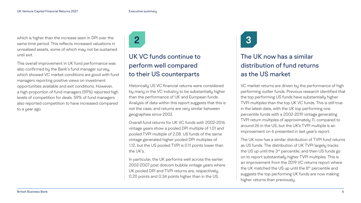which is higher than the increase seen in DPI over the same time period. This reflects increased valuations in unrealised assets, some of which may not be sustained until exit.

This overall improvement in UK fund performance was also confirmed by the Bank's fund manager survey, which showed VC market conditions are good with fund managers reporting positive views on investment opportunities available and exit conditions. However, a high proportion of fund managers (59%) reported high levels of competition for deals. 59% of fund managers also reported competition to have increased compared to a year ago.

**2**

### UK VC funds continue to perform well compared to their US counterparts

Historically US VC financial returns were considered by many in the VC industry to be substantially higher than the performance of UK and European funds. Analysis of data within this report suggests that this is not the case, and returns are very similar between geographies since 2002.

Overall fund returns for UK VC funds with 2002-2016 vintage years show a pooled DPI multiple of 1.01 and pooled TVPI multiple of 2.08. US funds of the same vintage generated higher pooled DPI multiples of 1.12, but the US pooled TVPI is 0.11 points lower than the UK's.

In particular, the UK performs well across the earlier 2002-2007 post dotcom bubble vintage years where UK pooled DPI and TVPI returns are, respectively, 0.20 points and 0.34 points higher than in the US.

**3**

### The UK now has a similar distribution of fund returns as the US market

VC market returns are driven by the performance of high performing outlier funds. Previous research identified that the top performing US funds have substantially higher TVPI multiples than the top UK VC funds. This is still true in the latest data, with the UK top performing one percentile funds with a 2002-2019 vintage generating TVPI return multiples of approximately 11, compared to around 26 in the US, but the UK's TVPI multiple is an improvement on 6 presented in last year's report.

The UK now has a similar distribution of TVPI fund returns as US funds. The distribution of UK TVPI largely tracks the US up until the 3<sup>rd</sup> percentile, and then US funds go on to report substantially higher TVPI multiples. This is an improvement from the 2019 VC returns report where the UK matched the US up until the  $8<sup>th</sup>$  percentile and suggests the top performing UK funds are now making higher returns than previously.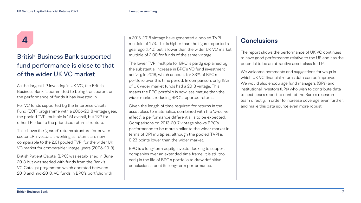# **4**

### British Business Bank supported fund performance is close to that of the wider UK VC market

As the largest LP investing in UK VC, the British Business Bank is committed to being transparent on the performance of funds it has invested in.

For VC funds supported by the Enterprise Capital Fund (ECF) programme with a 2006-2018 vintage year, the pooled TVPI multiple is 1.51 overall, but 1.99 for other LPs due to the prioritised return structure.

This shows the 'geared' returns structure for private sector LP investors is working as returns are now comparable to the 2.01 pooled TVPI for the wider UK VC market for comparable vintage years (2006-2018).

British Patient Capital (BPC) was established in June 2018 but was seeded with funds from the Bank's VC Catalyst programme which operated between 2013 and mid-2018. VC funds in BPC's portfolio with

a 2013-2018 vintage have generated a pooled TVPI multiple of 1.73. This is higher than the figure reported a year ago (1.40) but is lower than the wider UK VC market multiple of 2.00 for funds of the same vintage.

The lower TVPI multiple for BPC is partly explained by the substantial increase in BPC's VC fund investment activity in 2018, which account for 33% of BPC's portfolio over this time period. In comparison, only 18% of UK wider market funds had a 2018 vintage. This means the BPC portfolio is now less mature than the wider market, reducing BPC's reported returns.

Given the length of time required for returns in the asset class to materialise, combined with the 'J-curve effect', a performance differential is to be expected. Comparisons on 2013-2017 vintage shows BPC's performance to be more similar to the wider market in terms of DPI multiples, although the pooled TVPI is 0.23 points lower than the wider market.

BPC is a long-term equity investor looking to support companies over an extended time frame. It is still too early in the life of BPC's portfolio to draw definitive conclusions about its long-term performance.

### **Conclusions**

The report shows the performance of UK VC continues to have good performance relative to the US and has the potential to be an attractive asset class for LPs.

We welcome comments and suggestions for ways in which UK VC financial returns data can be improved. We would also encourage fund managers (GPs) and institutional investors (LPs) who wish to contribute data to next year's report to contact the Bank's research team directly, in order to increase coverage even further, and make this data source even more robust.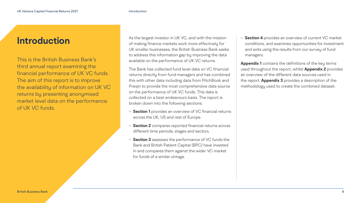As the largest investor in UK VC, and with the mission of making finance markets work more effectively for UK smaller businesses, the British Business Bank seeks to address this information gap by improving the data available on the performance of UK VC returns.

The Bank has collected fund level data on VC financial returns directly from fund managers and has combined this with other data including data from PitchBook and Preqin to provide the most comprehensive data source on the performance of UK VC funds. This data is collected on a best endeavours basis. The report is broken down into the following sections:

- **Section 1** provides an overview of VC financial returns across the UK, US and rest of Europe.
- **Section 2** compares reported financial returns across different time periods, stages and sectors.
- **Section 3** assesses the performance of VC funds the Bank and British Patient Capital (BPC) have invested in and compares them against the wider VC market for funds of a similar vintage.

– **Section 4** provides an overview of current VC market conditions, and examines opportunities for investment and exits using the results from our survey of fund

managers.

**Appendix 1** contains the definitions of the key terms used throughout the report, whilst **Appendix 2** provides an overview of the different data sources used in the report. **Appendix 3** provides a description of the methodology used to create the combined dataset.

### <span id="page-7-0"></span>**Introduction**

This is the British Business Bank's third annual report examining the financial performance of UK VC funds. The aim of this report is to improve the availability of information on UK VC returns by presenting anonymised market level data on the performance of UK VC funds.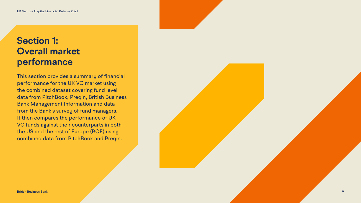### <span id="page-8-0"></span>**Section 1: Overall market performance**

This section provides a summary of financial performance for the UK VC market using the combined dataset covering fund level data from PitchBook, Preqin, British Business Bank Management Information and data from the Bank's survey of fund managers. It then compares the performance of UK VC funds against their counterparts in both the US and the rest of Europe (ROE) using combined data from PitchBook and Preqin.

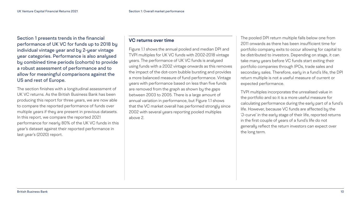### **VC returns over time**

Figure 1.1 shows the annual pooled and median DPI and TVPI multiples for UK VC funds with 2002-2018 vintage years. The performance of UK VC funds is analysed using funds with a 2002 vintage onwards as this removes the impact of the dot-com bubble bursting and provides a more balanced measure of fund performance. Vintage years with performance based on less than five funds are removed from the graph as shown by the gaps between 2003 to 2005. There is a large amount of annual variation in performance, but Figure 1.1 shows that the VC market overall has performed strongly since 2002 with several years reporting pooled multiples above 2.

The pooled DPI return multiple falls below one from 2011 onwards as there has been insufficient time for portfolio company exits to occur allowing for capital to be distributed to investors. Depending on stage, it can take many years before VC funds start exiting their portfolio companies through IPOs, trade sales and secondary sales. Therefore, early in a fund's life, the DPI return multiple is not a useful measure of current or expected performance.

TVPI multiples incorporates the unrealised value in the portfolio and so it is a more useful measure for calculating performance during the early part of a fund's life. However, because VC funds are affected by the 'J-curve' in the early stage of their life, reported returns in the first couple of years of a fund's life do not generally reflect the return investors can expect over the long term.

<span id="page-9-0"></span>Section 1 presents trends in the financial performance of UK VC for funds up to 2018 by individual vintage year and by 2-year vintage year categories. Performance is also analysed by combined time periods (cohorts) to provide a robust assessment of performance and to allow for meaningful comparisons against the US and rest of Europe.

The section finishes with a longitudinal assessment of UK VC returns. As the British Business Bank has been producing this report for three years, we are now able to compare the reported performance of funds over multiple years if they are present in previous datasets. In this report, we compare the reported 2021 performance for nearly 80% of the UK VC funds in this year's dataset against their reported performance in last year's (2020) report.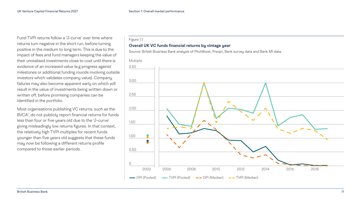### **Overall UK VC funds financial returns by vintage year**



<span id="page-10-0"></span>Fund TVPI returns follow a 'J-curve' over time where returns turn negative in the short run, before turning positive in the medium to long term. This is due to the impact of fees and fund managers keeping the value of their unrealised investments close to cost until there is evidence of an increased value (e.g progress against milestones or additional funding rounds involving outside investors which validates company value). Company failures may also become apparent early on which will result in the value of investments being written down or written off, before promising companies can be identified in the portfolio.

Most organisations publishing VC returns, such as the BVCA<sup>1</sup>, do not publicly report financial returns for funds less than four or five years old due to the 'J-curve' giving misleadingly low returns figures. In that context, the relatively high TVPI multiples for recent funds younger than five years old suggests that these funds may now be following a different returns profile compared to those earlier periods.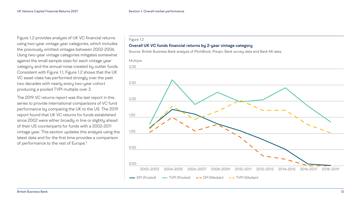The 2019 VC returns report was the last report in this series to provide international comparisons of VC fund performance by comparing the UK to the US. The 2019 report found that UK VC returns for funds established since 2002 were either broadly in line or slightly ahead of their US counterparts for funds with a 2002-2011 vintage year. This section updates this analysis using the latest data and for the first time provides a comparison of performance to the rest of Europe.<sup>2</sup>

## Figure 1.2 **Overall UK VC funds financial returns by 2-year vintage category** Source: British Business Bank analysis of PitchBook, Preqin, Bank survey data and Bank MI data. 3.00 2.00 2.50 0.50 1.50 1.00 2002–2003 2004–2005 2006–2007 2008–2009 2010–2011 2012–2013 2014–2015 2016–2017 2018–2019 Multiple 0.00  $\longrightarrow$  DPI (Pooled)  $\longrightarrow$  TVPI (Pooled)  $\longrightarrow$  DPI (Median)  $\longrightarrow$  TVPI (Median)

<span id="page-11-0"></span>Figure 1.2 provides analysis of UK VC financial returns using two-year vintage year categories, which includes the previously omitted vintages between 2002-2006. Using two-year vintage categories mitigates somewhat against the small sample sizes for each vintage year category and the annual noise created by outlier funds. Consistent with Figure 1.1, Figure 1.2 shows that the UK VC asset class has performed strongly over the past two decades with nearly every two-year cohort producing a pooled TVPI multiple over 2.

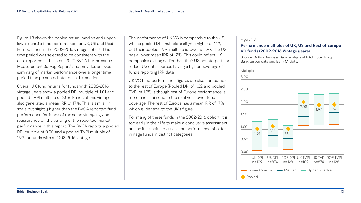### **Performance multiples of UK, US and Rest of Europe VC funds (2002-2016 Vintage years)**

Source: British Business Bank analysis of PitchBook, Preqin,

Bank survey data and Bank MI data. Multiple







<span id="page-12-0"></span>Figure 1.3 shows the pooled return, median and upper/ lower quartile fund performance for UK, US and Rest of Europe funds in the 2002-2016 vintage cohort. This time period was selected to be consistent with the data reported in the latest 2020 BVCA Performance Measurement Survey Report<sup>3</sup> and provides an overall summary of market performance over a longer time period than presented later on in this section.

Overall UK fund returns for funds with 2002-2016 vintage years show a pooled DPI multiple of 1.01 and pooled TVPI multiple of 2.08. Funds of this vintage also generated a mean IRR of 17%. This is similar in scale but slightly higher than the BVCA reported fund performance for funds of the same vintage, giving reassurance on the validity of the reported market performance in this report. The BVCA reports a pooled DPI multiple of 0.90 and a pooled TVPI multiple of 1.93 for funds with a 2002-2016 vintage.

The performance of UK VC is comparable to the US, whose pooled DPI multiple is slightly higher at 1.12, but their pooled TVPI multiple is lower at 1.97. The US has a lower mean IRR of 12%. This could reflect UK companies exiting earlier than their US counterparts or reflect US data sources having a higher coverage of funds reporting IRR data.

UK VC fund performance figures are also comparable to the rest of Europe (Pooled DPI of 1.02 and pooled TVPI of 1.98), although rest of Europe performance is more uncertain due to the relatively lower fund coverage. The rest of Europe has a mean IRR of 17% which is identical to the UK's figure.

For many of these funds in the 2002-2016 cohort, it is too early in their life to make a conclusive assessment, and so it is useful to assess the performance of older vintage funds in distinct categories.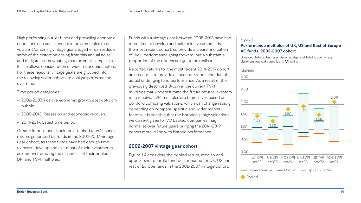| Multiple |  |
|----------|--|
| 3.00     |  |
|          |  |
| 2.50     |  |





### **Performance multiples of UK, US and Rest of Europe VC funds, 2002-2007 cohort**

Source: British Business Bank analysis of PitchBook, Preqin, Bank survey data and Bank MI data.

<span id="page-13-0"></span>High performing outlier funds and prevailing economic conditions can cause annual returns multiples to be volatile. Combining vintage years together can reduce some of the distortion arising from this annual noise and mitigates somewhat against the small sample sizes. It also allows consideration of wider economic factors. For these reasons, vintage years are grouped into the following wider cohorts to analyse performance over time:

Time period categories:

- 2002-2007: Positive economic growth post dot-com bubble
- 2008-2013: Recession and economic recovery
- 2014-2019: Latest time period

Greater importance should be attached to VC financial returns generated by funds in the 2002-2007 vintage year cohort, as these funds have had enough time to invest, develop and exit most of their investments as demonstrated by the closeness of their pooled DPI and TVPI multiples.

Funds with a vintage year between 2008-2013 have had more time to develop and exit their investments than the most recent cohort, so provide a clearer indication of likely performance going forward, but a substantial proportion of the returns are yet to be realised.

Reported returns for the most recent 2014-2019 cohort are less likely to provide an accurate representation of actual underlying fund performance. As a result of the previously described 'J-curve', the current TVPI multiples may underestimate the future returns investors may receive. TVPI multiples are themselves based on portfolio company valuations, which can change rapidly depending on company specific and wider market factors, it is possible that the historically high valuations we currently see for VC backed companies may normalise over future years bringing the 2014-2019 cohort more in line with historic performance.

### **2002-2007 vintage year cohort**

Figure 1.4 considers the pooled return, median and upper/lower quartile fund performance for UK, US and rest of Europe funds in the 2002-2007 vintage cohort.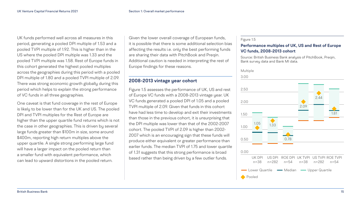





### **Performance multiples of UK, US and Rest of Europe VC funds, 2008-2013 cohort**

Source: British Business Bank analysis of PitchBook, Preqin, Bank survey data and Bank MI data.

Given the lower overall coverage of European funds, it is possible that there is some additional selection bias affecting the results i.e. only the best performing funds are sharing their data with PitchBook and Preqin. Additional caution is needed in interpreting the rest of Europe findings for these reasons.

### **2008-2013 vintage year cohort**

Figure 1.5 assesses the performance of UK, US and rest of Europe VC funds with a 2008-2013 vintage year. UK VC funds generated a pooled DPI of 1.05 and a pooled TVPI multiple of 2.09. Given that funds in this cohort have had less time to develop and exit their investments than those in the previous cohort, it is unsurprising that the DPI multiple was lower than that of the 2002-2007 cohort. The pooled TVPI of 2.09 is higher than 2002- 2007 which is an encouraging sign that these funds will produce either equivalent or greater performance than earlier funds. The median TVPI of 1.75 and lower quartile of 1.31 suggests that this strong performance is broad based rather than being driven by a few outlier funds.

<span id="page-14-0"></span>UK funds performed well across all measures in this period, generating a pooled DPI multiple of 1.53 and a pooled TVPI multiple of 1.92. This is higher than in the US where the pooled DPI multiple was 1.33 and the pooled TVPI multiple was 1.58. Rest of Europe funds in this cohort generated the highest pooled multiples across the geographies during this period with a pooled DPI multiple of 1.80 and a pooled TVPI multiple of 2.09. There was strong economic growth globally during this period which helps to explain the strong performance of VC funds in all three geographies.

One caveat is that fund coverage in the rest of Europe is likely to be lower than for the UK and US. The pooled DPI and TVPI multiples for the Rest of Europe are higher than the upper quartile fund returns which is not the case in other geographies. This is driven by several large funds greater than \$100m in size, some around \$400m, reporting high return multiples above the upper quartile. A single strong performing large fund will have a larger impact on the pooled return than a smaller fund with equivalent performance, which can lead to upward distortions in the pooled return.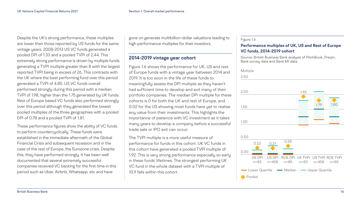### **Performance multiples of UK, US and Rest of Europe VC funds, 2014-2019 cohort**

Source: British Business Bank analysis of PitchBook, Preqin, Bank survey data and Bank MI data.

| Multiple |  |
|----------|--|
| 2.50     |  |
| 2.00     |  |
| 1.50     |  |
| 1.00     |  |





<span id="page-15-0"></span>Despite the UK's strong performance, these multiples are lower than those reported by US funds for the same vintage years. 2008-2013 US VC funds generated a pooled DPI of 1.33 and a pooled TVPI of 2.44. This extremely strong performance is driven by multiple funds generating a TVPI multiple greater than 8 with the largest reported TVPI being in excess of 26. This contrasts with the UK where the best performing fund over this period generated a TVPI of 4.85. US VC funds overall performed strongly during this period with a median TVPI of 1.98, higher than the 1.75 generated by UK funds. Rest of Europe based VC funds also performed strongly over this period although they generated the lowest pooled multiples of the three geographies with a pooled DPI of 0.78 and a pooled TVPI of 1.81.

These performance figures show the ability of VC funds to perform countercyclically. These funds were established in the immediate aftermath of the Global Financial Crisis and subsequent recession and in the case of the rest of Europe, the Eurozone crisis. Despite this, they have performed strongly. It has been well documented that several extremely successful companies received VC backing for the first time in this period such as Uber, Airbnb, Whatsapp, etc and have

gone on generate multibillion-dollar valuations leading to high performance multiples for their investors.

### **2014-2019 vintage year cohort**

Figure 1.6 shows the performance for UK, US and rest of Europe funds with a vintage year between 2014 and 2019. It is too soon in the life of these funds to meaningfully assess the DPI multiple as they haven't had sufficient time to develop and exit many of their portfolio companies. The median DPI multiple for these cohorts is 0 for both the UK and rest of Europe, and 0.02 for the US showing most funds have yet to realise any value from their investments. This highlights the importance of patience with VC investment as it takes many years to develop a company before a successful trade sale or IPO exit can occur.

The TVPI multiple is a more useful measure of performance for funds in this cohort. UK VC funds in this cohort have generated a pooled TVPI multiple of 1.92. This is very strong performance especially so early in these funds' lifetimes. The strongest performing UK VC fund in the whole dataset with a TVPI multiple of 10.9 falls within this cohort.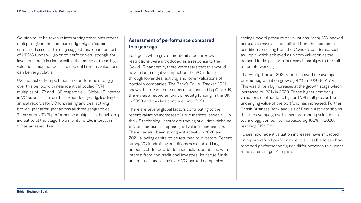<span id="page-16-0"></span>Caution must be taken in interpreting these high recent multiples given they are currently only on 'paper' in unrealised assets. This may suggest this recent cohort of UK VC funds will go on to perform very strongly for investors, but it is also possible that some of these high valuations may not be sustained until exit, as valuations can be very volatile.

US and rest of Europe funds also performed strongly over this period, with near identical pooled TVPI multiples of 1.79 and 1.80 respectively. Global LP interest in VC as an asset class has expanded greatly, leading to annual records for VC fundraising and deal activity broken year after year across all three geographies. These strong TVPI performance multiples, although only indicative at this stage, help maintains LPs interest in VC as an asset class.

### **Assessment of performance compared to a year ago**

Last year, when government-initiated lockdown restrictions were introduced as a response to the Covid-19 pandemic, there were fears that this would have a large negative impact on the VC industry through lower deal activity and lower valuations of portfolio companies. The Bank's Equity Tracker 2021 shows that despite the uncertainty caused by Covid-19, there was a record amount of equity funding in the UK in 2020 and this has continued into 2021.

There are several global factors contributing to the recent valuation increases[.4](#page-49-0) Public markets, especially in the US technology sector are trading at all-time highs, so private companies appear good value in comparison. There has also been strong exit activity in 2020 and 2021, allowing capital to be returned to investors. Recent strong VC fundraising conditions has enabled large amounts of dry powder to accumulate, combined with interest from non-traditional investors like hedge funds and mutual funds, leading to VC-backed companies

seeing upward pressure on valuations. Many VC-backed companies have also benefitted from the economic conditions resulting from the Covid-19 pandemic, such as Hopin which achieved a unicorn valuation as the demand for its platform increased sharply with the shift to remote working.

The Equity Tracker 2021 report showed the average pre-money valuation grew by 47% in 2020 to £19.7m. This was driven by increases at the growth stage which increased by 92% in 2020. These higher company valuations contribute to higher TVPI multiples as the underlying value of the portfolio has increased. Further British Business Bank analysis of Beauhurst data shows that the average growth stage pre-money valuation in technology companies increased by 102% in 2020, reaching £124.5m.

To see how recent valuation increases have impacted on reported fund performance, it is possible to see how reported performance figures differ between this year's report and last year's report.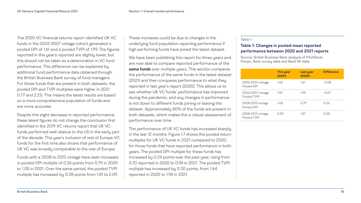#### Table 1

### **Table 1: Changes in pooled mean reported performance between 2020 and 2021 reports**

Source: British Business Bank analysis of PitchBook, Preqin, Bank survey data and Bank MI data.

2002-2007 vintage Pooled DPI

2002-2007 vintage Pooled TVPI

| <b>This year</b><br>(2021) | Last year<br>(2020) | <b>Difference</b> |
|----------------------------|---------------------|-------------------|
| 1.53                       | 1.61                | $-0.08$           |
| 1.92                       | 1.99                | $-0.07$           |
| 1.05                       | 0.79                | 0.26              |
| 2.09                       | 1.81                | 0.28              |

2008-2013 vintage Pooled DPI

2008-2013 vintage Pooled TVPI

The 2020 VC financial returns report identified UK VC funds in the 2002-2007 vintage cohort generated a pooled DPI of 1.61 and a pooled TVPI of 1.99. The figures reported in this year's reported are slightly lower, but this should not be taken as a deterioration in VC fund performance. This difference can be explained by additional fund performance data obtained through the British Business Bank survey of fund managers. For those funds that are present in both datasets, the pooled DPI and TVPI multiples were higher in 2021 (1.77 and 2.21). This means the latest results are based on a more comprehensive population of funds and are more accurate.

Despite this slight decrease in reported performance, these latest figures do not change the conclusion first identified in the 2019 VC returns report that UK VC funds performed well relative to the US in the early part of the decade. This year's inclusion of rest of Europe VC funds for the first time also shows that performance of UK VC was broadly comparable to the rest of Europe.

Funds with a 2008 to 2013 vintage have seen increases in pooled DPI multiple of 0.26 points from 0.79 in 2020 to 1.05 in 2021. Over the same period, the pooled TVPI multiple has increased by 0.28 points from 1.81 to 2.09.

These increases could be due to changes in the underlying fund population reporting performance if high performing funds have joined the latest dataset.

We have been publishing this report for three years and are now able to compare reported performance of the **same funds** over multiple years. This section compares the performance of the same funds in the latest dataset (2021) and then compares performance to what they reported in last year's report (2020). This allows us to see whether UK VC funds' performance has improved during the pandemic, and any changes in performance is not down to different funds joining or leaving the dataset. Approximately 80% of the funds are present in both datasets, which makes this a robust assessment of performance over time.

The performance of UK VC funds has increased sharply in the last 12 months. Figure 1.7 shows the pooled return multiples for UK VC funds in 2021 compared to 2020, for those funds that have reported performance in both years. The pooled DPI multiple for these funds has increased by 0.24 points over the past year, rising from 0.70 reported in 2020 to 0.94 in 2021. The pooled TVPI multiple has increased by 0.30 points, from 1.64 reported in 2020 to 1.94 in 2021.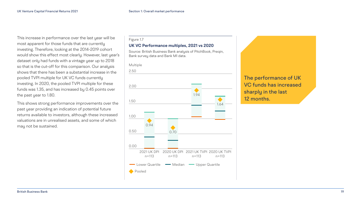### **UK VC Performance multiples, 2021 vs 2020**

Source: British Business Bank analysis of PitchBook, Preqin, Bank survey data and Bank MI data.



This increase in performance over the last year will be most apparent for those funds that are currently investing. Therefore, looking at the 2014-2019 cohort would show this effect most clearly. However, last year's dataset only had funds with a vintage year up to 2018 so that is the cut-off for this comparison. Our analysis shows that there has been a substantial increase in the pooled TVPI multiple for UK VC funds currently investing. In 2020, the pooled TVPI multiple for these funds was 1.35, and has increased by 0.45 points over the past year to 1.80.

This shows strong performance improvements over the past year providing an indication of potential future returns available to investors, although these increased valuations are in unrealised assets, and some of which may not be sustained.

The performance of UK VC funds has increased

# sharply in the last 12 months.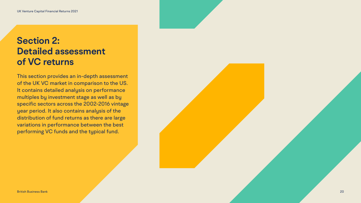### <span id="page-19-0"></span>**Section 2: Detailed assessment of VC returns**

This section provides an in-depth assessment of the UK VC market in comparison to the US. It contains detailed analysis on performance multiples by investment stage as well as by specific sectors across the 2002-2016 vintage year period. It also contains analysis of the distribution of fund returns as there are large variations in performance between the best performing VC funds and the typical fund.

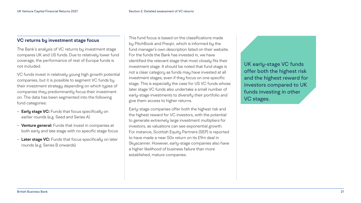### <span id="page-20-0"></span>**VC returns by investment stage focus**

The Bank's analysis of VC returns by investment stage compares UK and US funds. Due to relatively lower fund coverage, the performance of rest of Europe funds is not included.

VC funds invest in relatively young high growth potential companies, but it is possible to segment VC funds by their investment strategy depending on which types of companies they predominantly focus their investment on. The data has been segmented into the following fund categories:

- **Early stage VC:** Funds that focus specifically on earlier rounds (e.g. Seed and Series A)
- **Venture general:** Funds that invest in companies at both early and late stage with no specific stage focus
- **Later stage VC:** Funds that focus specifically on later rounds (e.g. Series B onwards).

This fund focus is based on the classifications made by PitchBook and Preqin, which is informed by the fund manager's own description listed on their website. For the funds the Bank has invested in, we have identified the relevant stage that most closely fits their investment stage. It should be noted that fund stage is not a clear category as funds may have invested at all investment stages, even if they focus on one specific stage. This is especially the case for US VC funds whose later stage VC funds also undertake a small number of early-stage investments to diversify their portfolio and give them access to higher returns.

Early-stage companies offer both the highest risk and the highest reward for VC investors, with the potential to generate extremely large investment multipliers for investors, as valuations can see exponential growth. For instance, Scottish Equity Partners (SEP) is reported to have made a near 50x return on its £9m deal in Skyscanner. However, early-stage companies also have a higher likelihood of business failure than more established, mature companies.

UK early-stage VC funds offer both the highest risk and the highest reward for investors compared to UK funds investing in other VC stages.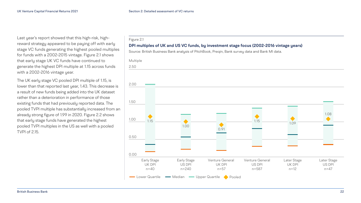

Last year's report showed that this high-risk, highreward strategy appeared to be paying off with early stage VC funds generating the highest pooled multiples for funds with a 2002-2015 vintage. Figure 2.1 shows that early stage UK VC funds have continued to generate the highest DPI multiple at 1.15 across funds with a 2002-2016 vintage year.

The UK early stage VC pooled DPI multiple of 1.15, is lower than that reported last year, 1.43. This decrease is a result of new funds being added into the UK dataset rather than a deterioration in performance of those existing funds that had previously reported data. The pooled TVPI multiple has substantially increased from an already strong figure of 1.99 in 2020. Figure 2.2 shows that early stage funds have generated the highest pooled TVPI multiples in the US as well with a pooled TVPI of 2.15.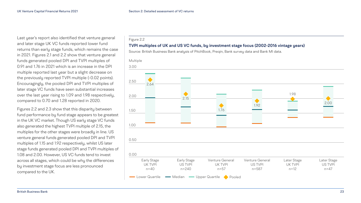Last year's report also identified that venture general and later stage UK VC funds reported lower fund returns than early stage funds, which remains the case in 2021. Figures 2.1 and 2.2 show that venture general funds generated pooled DPI and TVPI multiples of 0.91 and 1.76 in 2021 which is an increase in the DPI multiple reported last year but a slight decrease on the previously reported TVPI multiple (-0.02 points). Encouragingly, the pooled DPI and TVPI multiples of later stage VC funds have seen substantial increases over the last year rising to 1.09 and 1.98 respectively, compared to 0.70 and 1.28 reported in 2020.

Figures 2.2 and 2.3 show that this disparity between fund performance by fund stage appears to be greatest in the UK VC market. Though US early stage VC funds also generated the highest TVPI multiple of 2.15, the multiples for the other stages were broadly in line. US venture general funds generated pooled DPI and TVPI multiples of 1.15 and 1.92 respectively, whilst US later stage funds generated pooled DPI and TVPI multiples of 1.08 and 2.00. However, US VC funds tend to invest across all stages, which could be why the differences by investment stage focus are less pronounced compared to the UK.

#### Figure 2.2

### **TVPI multiples of UK and US VC funds, by investment stage focus (2002-2016 vintage years)**

Source: British Business Bank analysis of PitchBook, Preqin, Bank survey data and Bank MI data.

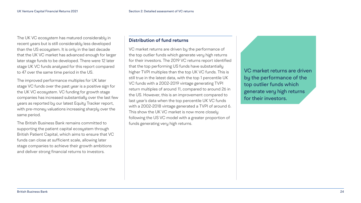The UK VC ecosystem has matured considerably in recent years but is still considerably less developed than the US ecosystem. It is only in the last decade that the UK VC market has advanced enough for larger later stage funds to be developed. There were 12 later stage UK VC funds analysed for this report compared to 47 over the same time period in the US.

The improved performance multiples for UK later stage VC funds over the past year is a positive sign for the UK VC ecosystem. VC funding for growth stage companies has increased substantially over the last few years as reported by our latest Equity Tracker report, with pre-money valuations increasing sharply over the same period.

The British Business Bank remains committed to supporting the patient capital ecosystem through British Patient Capital, which aims to ensure that VC funds can close at sufficient scale, allowing later stage companies to achieve their growth ambitions and deliver strong financial returns to investors.

### **Distribution of fund returns**

VC market returns are driven by the performance of the top outlier funds which generate very high returns for their investors. The 2019 VC returns report identified that the top performing US funds have substantially higher TVPI multiples than the top UK VC funds. This is still true in the latest data, with the top 1 percentile UK VC funds with a 2002-2019 vintage generating TVPI return multiples of around 11, compared to around 26 in the US. However, this is an improvement compared to last year's data when the top percentile UK VC funds with a 2002-2018 vintage generated a TVPI of around 6. This show the UK VC market is now more closely following the US VC model with a greater proportion of funds generating very high returns.

VC market returns are driven by the performance of the top outlier funds which generate very high returns for their investors.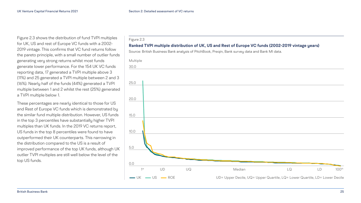<span id="page-24-0"></span>Figure 2.3 shows the distribution of fund TVPI multiples for UK, US and rest of Europe VC funds with a 2002- 2019 vintage. This confirms that VC fund returns follow the pareto principle, with a small number of outlier funds generating very strong returns whilst most funds generate lower performance. For the 154 UK VC funds reporting data, 17 generated a TVPI multiple above 3 (11%) and 25 generated a TVPI multiple between 2 and 3 (16%). Nearly half of the funds (44%) generated a TVPI multiple between 1 and 2 whilst the rest (25%) generated a TVPI multiple below 1.

These percentages are nearly identical to those for US and Rest of Europe VC funds which is demonstrated by the similar fund multiple distribution. However, US funds in the top 3 percentiles have substantially higher TVPI multiples than UK funds. In the 2019 VC returns report, US funds in the top 8 percentiles were found to have outperformed their UK counterparts. This narrowing in the distribution compared to the US is a result of improved performance of the top UK funds, although UK outlier TVPI multiples are still well below the level of the top US funds.

#### Figure 2.3

### **Ranked TVPI multiple distribution of UK, US and Rest of Europe VC funds (2002-2019 vintage years)**

Source: British Business Bank analysis of PitchBook, Preqin, Bank survey data and Bank MI data.



| LQ                                           | LD | 100 <sup>th</sup> |
|----------------------------------------------|----|-------------------|
| artile, LQ= Lower Quartile, LD= Lower Decile |    |                   |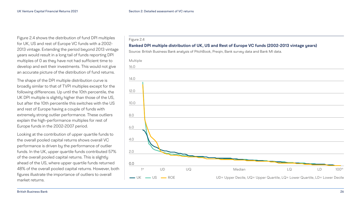

Figure 2.4 shows the distribution of fund DPI multiples for UK, US and rest of Europe VC funds with a 2002- 2013 vintage. Extending the period beyond 2013 vintage years would result in a long tail of funds reporting DPI multiples of 0 as they have not had sufficient time to develop and exit their investments. This would not give an accurate picture of the distribution of fund returns.

The shape of the DPI multiple distribution curve is broadly similar to that of TVPI multiples except for the following differences. Up until the 10th percentile, the UK DPI multiple is slightly higher than those of the US, but after the 10th percentile this switches with the US and rest of Europe having a couple of funds with extremely strong outlier performance. These outliers explain the high-performance multiples for rest of Europe funds in the 2002-2007 period.

Looking at the contribution of upper quartile funds to the overall pooled capital returns shows overall VC performance is driven by the performance of outlier funds. In the UK, upper quartile funds contributed 57% of the overall pooled capital returns. This is slightly ahead of the US, where upper quartile funds returned 48% of the overall pooled capital returns. However, both figures illustrate the importance of outliers to overall market returns.

| LQ                                           | LD | $100$ <sup>th</sup> |
|----------------------------------------------|----|---------------------|
| artile, LQ= Lower Quartile, LD= Lower Decile |    |                     |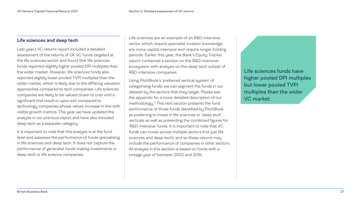### <span id="page-26-0"></span>**Life sciences and deep tech**

Last year's VC returns report included a detailed assessment of the returns of UK VC funds targeted at the life sciences sector and found that life sciences funds reported slightly higher pooled DPI multiples than the wider market. However, life sciences funds also reported slightly lower pooled TVPI multiples than the wider market, which is likely due to the differing valuation approaches compared to tech companies. Life sciences companies are likely to be valued closer to cost until a significant trial result or upon exit compared to technology companies whose values increase in line with visible growth metrics. This year we have updated the analysis in our previous report and have also included deep tech as a separate category.

It is important to note that this analysis is at the fund level and assesses the performance of funds specialising in life sciences and deep tech. It does not capture the performance of generalist funds making investments in deep tech or life science companies.

Life sciences are an example of an R&D-intensive sector which require specialist investor knowledge, are more capital intensive and require longer holding periods. Earlier this year, the Bank's Equity Tracker report contained a section on the R&D-intensive ecosystem with analysis on the deep tech subset of R&D-intensive companies.

Using PitchBook's 'preferred vertical system' of categorising funds, we can segment the funds in our dataset by the sectors that they target. Please see the appendix for a more detailed description of our methodology[.5](#page-49-0) This next section presents the fund performance of those funds identified by PitchBook as preferring to invest in life sciences or 'deep tech' verticals as well as presenting the combined figures for 'R&D-intensive' funds. It is important to note that VC funds can invest across multiple sectors (not just life sciences and deep tech), and so these returns may include the performance of companies in other sectors. All analysis in this section is based on funds with a vintage year of between 2002 and 2016.

Life sciences funds have higher pooled DPI multiples but lower pooled TVPI multiples than the wider VC market.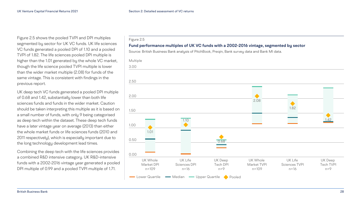Figure 2.5 shows the pooled TVPI and DPI multiples segmented by sector for UK VC funds. UK life sciences VC funds generated a pooled DPI of 1.10 and a pooled TVPI of 1.82. The life sciences pooled DPI multiple is higher than the 1.01 generated by the whole VC market, though the life science pooled TVPI multiple is lower than the wider market multiple (2.08) for funds of the same vintage. This is consistent with findings in the previous report.

UK deep tech VC funds generated a pooled DPI multiple of 0.68 and 1.42, substantially lower than both life sciences funds and funds in the wider market. Caution should be taken interpreting this multiple as it is based on a small number of funds, with only 9 being categorised as deep tech within the dataset. These deep tech funds have a later vintage year on average (2013) than either the whole market funds or life sciences funds (2010 and 2011 respectively), which is especially important due to the long technology development lead times.

Combining the deep tech with the life sciences provides a combined R&D intensive category. UK R&D-intensive funds with a 2002-2016 vintage year generated a pooled DPI multiple of 0.99 and a pooled TVPI multiple of 1.71.

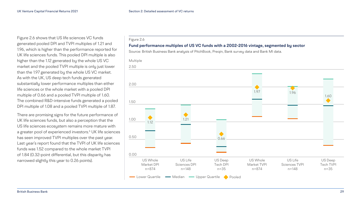### Figure 2.6 **Fund performance multiples of US VC funds with a 2002-2016 vintage, segmented by sector** Source: British Business Bank analysis of PitchBook, Preqin, Bank survey data and Bank MI data. Multiple Lower Quartile • Median • Upper Quartile • Pooled 2.50 2.00 1.50 1.00 0.50 0.00 US Whole Market DPI n=874 1.12 US Deep Tech DPI n=35 0.66 US Life Sciences TVPI n=148 1.96 US Whole Market TVPI n=874 1.97 US Life Sciences DPI n=148 1.21



<span id="page-28-0"></span>Figure 2.6 shows that US life sciences VC funds generated pooled DPI and TVPI multiples of 1.21 and 1.96, which is higher than the performance reported for UK life sciences funds. This pooled DPI multiple is also higher than the 1.12 generated by the whole US VC market and the pooled TVPI multiple is only just lower than the 1.97 generated by the whole US VC market. As with the UK, US deep tech funds generated substantially lower performance multiples than either life sciences or the whole market with a pooled DPI multiple of 0.66 and a pooled TVPI multiple of 1.60. The combined R&D-intensive funds generated a pooled DPI multiple of 1.08 and a pooled TVPI multiple of 1.87.

There are promising signs for the future performance of UK life sciences funds, but also a perception that the US life sciences ecosystem remains more mature with a greater pool of experienced investors.<sup>[6](#page-49-0)</sup> UK life sciences has seen improved TVPI multiples over the past year. Last year's report found that the TVPI of UK life sciences funds was 1.52 compared to the whole market TVPI of 1.84 (0.32-point differential, but this disparity has narrowed slightly this year to 0.26 points).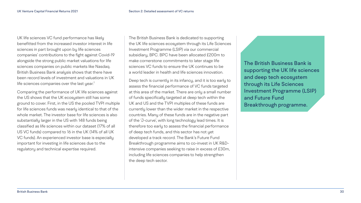Comparing the performance of UK life sciences against the US shows that the UK ecosystem still has some ground to cover. First, in the US the pooled TVPI multiple for life sciences funds was nearly identical to that of the whole market. The investor base for life sciences is also substantially larger in the US with 148 funds being classified as life sciences within our dataset (17% of all US VC funds) compared to 16 in the UK (14% of all UK VC funds). An experienced investor base is especially important for investing in life sciences due to the regulatory and technical expertise required.

The British Business Bank is dedicated to supporting the UK life sciences ecosystem through its Life Sciences Investment Programme (LSIP) via our commercial subsidiary, BPC. BPC have been allocated £200m to make cornerstone commitments to later stage life sciences VC funds to ensure the UK continues to be a world leader in health and life sciences innovation.

Deep tech is currently in its infancy, and it is too early to assess the financial performance of VC funds targeted at this area of the market. There are only a small number of funds specifically targeted at deep tech within the UK and US and the TVPI multiples of these funds are currently lower than the wider market in the respective countries. Many of these funds are in the negative part of the 'J-curve', with long technology lead times. It is therefore too early to assess the financial performance of deep tech funds, and this sector has not yet developed a track record. The Bank's Future Fund Breakthrough programme aims to co-invest in UK R&Dintensive companies seeking to raise in excess of £30m, including life sciences companies to help strengthen the deep tech sector.

The British Business Bank is supporting the UK life sciences and deep tech ecosystem through its Life Sciences Investment Programme (LSIP) and Future Fund Breakthrough programme.

<span id="page-29-0"></span>UK life sciences VC fund performance has likely benefitted from the increased investor interest in life sciences in part brought upon by life sciences companies' contributions to the fight against Covid-19 alongside the strong public market valuations for life sciences companies on public markets like Nasdaq. British Business Bank analysis shows that there have been record levels of investment and valuations in UK life sciences companies over the last year. $7$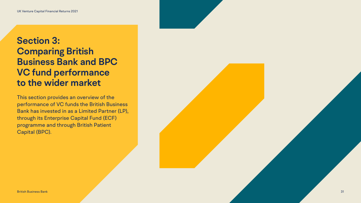### <span id="page-30-0"></span>**Section 3: Comparing British Business Bank and BPC VC fund performance to the wider market**

This section provides an overview of the performance of VC funds the British Business Bank has invested in as a Limited Partner (LP), through its Enterprise Capital Fund (ECF) programme and through British Patient Capital (BPC).

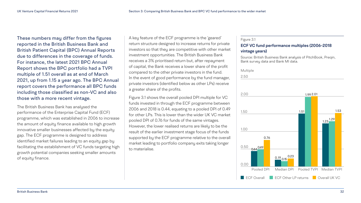These numbers may differ from the figures reported in the British Business Bank and British Patient Capital (BPC) Annual Reports due to differences in the coverage of funds. For instance, the latest 2021 BPC Annual Report shows the BPC portfolio had a TVPI multiple of 1.51 overall as at end of March 2021, up from 1.15 a year ago. The BPC Annual report covers the performance all BPC funds including those classified as non-VC and also those with a more recent vintage.

The British Business Bank has analysed the performance of the Enterprise Capital Fund (ECF) programme, which was established in 2006 to increase the amount of equity finance available to high growth innovative smaller businesses affected by the equity gap. The ECF programme is designed to address identified market failures leading to an equity gap by facilitating the establishment of VC funds targeting high growth potential companies seeking smaller amounts of equity finance.

A key feature of the ECF programme is the 'geared' return structure designed to increase returns for private investors so that they are competitive with other market investment opportunities. The British Business Bank receives a 3% prioritised return but, after repayment of capital, the Bank receives a lower share of the profit compared to the other private investors in the fund. In the event of good performance by the fund manager, private investors (identified below as other LPs) receive a greater share of the profits.

Figure 3.1 shows the overall pooled DPI multiple for VC funds invested in through the ECF programme between 2006 and 2018 is 0.44, equating to a pooled DPI of 0.49 for other LPs. This is lower than the wider UK VC market pooled DPI of 0.76 for funds of the same vintages. However, the lower realised returns are likely to be the result of the earlier investment stage focus of the funds supported by the ECF programme relative to the overall market leading to portfolio company exits taking longer to materialise.

#### Figure 3.1

### **ECF VC fund performance multiples (2006-2018**

## **vintage years)**

Source: British Business Bank analysis of PitchBook, Preqin,

Bank survey data and Bank MI data. 2.50 2.00 1.50 1.00 0.50 Multiple Pooled DPI 0.00  $0.44 \frac{0.49}{ }$ 0.76

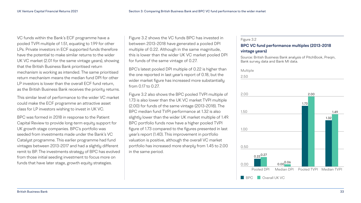#### Figure 3.2

### **BPC VC fund performance multiples (2013-2018**

Source: British Business Bank analysis of PitchBook, Preqin, and Bank MI data.

## **vintage years)**

| Bank survey data a |  |
|--------------------|--|
| Multiple           |  |
| 2.50               |  |
|                    |  |
|                    |  |
| 2.00               |  |
|                    |  |
|                    |  |
| 1.50               |  |
|                    |  |
|                    |  |
| 1.00               |  |
|                    |  |
|                    |  |
| БΩ                 |  |



Figure 3.2 shows the VC funds BPC has invested in between 2013-2018 have generated a pooled DPI multiple of 0.22. Although in the same magnitude, this is lower than the wider UK VC market pooled DPI for funds of the same vintage of 0.27.

BPC's latest pooled DPI multiple of 0.22 is higher than the one reported in last year's report of 0.18, but the wider market figure has increased more substantially from 0.17 to 0.27.

Figure 3.2 also shows the BPC pooled TVPI multiple of 1.73 is also lower than the UK VC market TVPI multiple (2.00) for funds of the same vintage (2013-2018). The BPC median fund TVPI performance at 1.32 is also slightly lower than the wider UK market multiple of 1.49. BPC portfolio funds now have a higher pooled TVPI figure of 1.73 compared to the figures presented in last year's report (1.40). This improvement in portfolio valuation is positive, although the overall VC market portfolio has increased more sharply from 1.45 to 2.00 in the same period.

VC funds within the Bank's ECF programme have a pooled TVPI multiple of 1.51, equating to 1.99 for other LPs. Private investors in ECF supported funds therefore have the potential to make similar returns to the wider UK VC market (2.01 for the same vintage years), showing that the British Business Bank prioritised return mechanism is working as intended. The same prioritised return mechanism means the median fund DPI for other LP investors is lower than the overall ECF fund return, as the British Business Bank receives the priority returns.

This similar level of performance to the wider VC market could make the ECF programme an attractive asset class for LP investors wishing to invest in UK VC.

BPC was formed in 2018 in response to the Patient Capital Review to provide long-term equity support for UK growth stage companies. BPC's portfolio was seeded from investments made under the Bank's VC Catalyst programme. This earlier programme had fund vintages between 2013-2017 and had a slightly different remit to BP. The investments strategy of BPC has evolved from those initial seeding investment to focus more on funds that have later stage, growth equity strategies.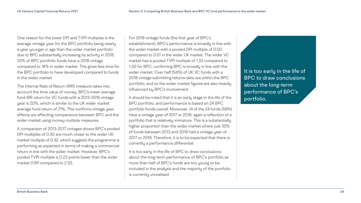One reason for the lower DPI and TVPI multiples is the average vintage year for the BPC portfolio being nearly a year younger in age than the wider market portfolio due to BPC substantially increasing its activity in 2018. 33% of BPC portfolio funds have a 2018 vintage compared to 18% in wider market. This gives less time for the BPC portfolio to have developed compared to funds in the wider market.

The Internal Rate of Return (IRR) measure takes into account the time value of money. BPC's mean average fund IRR return for VC funds with a 2013-2018 vintage year is 20%, which is similar to the UK wider market average fund return of 21%. This confirms vintage year effects are affecting comparisons between BPC and the wider market using money multiple measures.

A comparison of 2013-2017 vintages shows BPC's pooled DPI multiples of 0.30 are much closer to the wider UK market multiple of 0.32, which suggests the programme is performing as expected in terms of making a commercial return in line with the wider market. However, BPC's pooled TVPI multiple is 0.23 points lower than the wider market (1.89 compared to 2.12).

For 2018 vintage funds (the first year of BPC's establishment), BPC's performance is broadly in line with the wider market with a pooled DPI multiple of 0.00 compared to 0.01 in the wider UK market. The wider VC market has a pooled TVPI multiple of 1.33 compared to 1.30 for BPC, confirming BPC is broadly in line with the wider market. Over half (54%) of UK VC funds with a 2018 vintage submitting returns data are within the BPC portfolio, and so the wider market figures are also heavily influenced by BPC's involvement.

It should be noted that it is an early stage in the life of the BPC portfolio, and performance is based on 24 BPC portfolio funds overall. Moreover, 14 of the 24 funds (58%) have a vintage year of 2017 or 2018, again a reflection of a portfolio that is relatively immature. This is a substantially higher proportion than the wider market where just 35% of funds between 2013 and 2018 had a vintage year of 2017 or 2018. Therefore, it is to be expected that there is currently a performance differential.

It is too early in the life of BPC to draw conclusions about the long-term performance of BPC's portfolio as more than half of BPC's funds are too young to be included in the analysis and the majority of the portfolio is currently unrealised.

It is too early in the life of BPC to draw conclusions about the long-term performance of BPC's portfolio.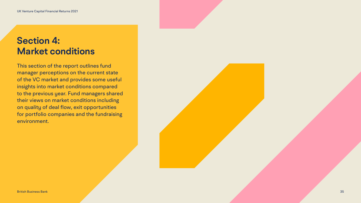### <span id="page-34-0"></span>**Section 4: Market conditions**

This section of the report outlines fund manager perceptions on the current state of the VC market and provides some useful insights into market conditions compared to the previous year. Fund managers shared their views on market conditions including on quality of deal flow, exit opportunities for portfolio companies and the fundraising environment.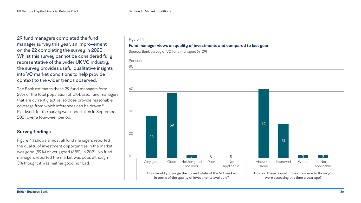

<span id="page-35-0"></span>29 fund managers completed the fund manager survey this year, an improvement on the 22 completing the survey in 2020. Whilst this survey cannot be considered fully representative of the wider UK VC industry, the survey provides useful qualitative insights into VC market conditions to help provide context to the wider trends observed.

The Bank estimates these 29 fund managers form 28% of the total population of UK-based fund managers that are currently active, so does provide reasonable coverage from which inferences can be drawn.[8](#page-49-0) Fieldwork for the survey was undertaken in September 2021 over a four-week period.

### **Survey findings**

Figure 4.1 shows almost all fund managers reported the quality of investment opportunities in the market was good (59%) or very good (38%) in 2021. No fund managers reported the market was poor, although 3% thought it was neither good nor bad.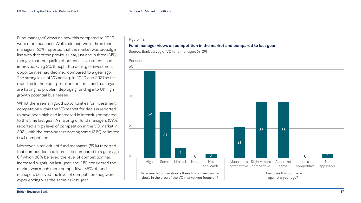

deals in the area of the VC market you focus on?

Fund managers' views on how this compared to 2020 were more nuanced. Whilst almost two in three fund managers (62%) reported that the market was broadly in line with that of the previous year, just one in three (31%) thought that the quality of potential investments had improved. Only 3% thought the quality of investment opportunities had declined compared to a year ago. The strong level of VC activity in 2020 and 2021 so far reported in the Equity Tracker confirms fund managers are having no problem deploying funding into UK high growth potential businesses.

Whilst there remain good opportunities for investment, competition within the VC market for deals is reported to have been high and increased in intensity compared to this time last year. A majority of fund managers (59%) reported a high level of competition in the VC market in 2021, with the remainder reporting some (31%) or limited (7%) competition.

Moreover, a majority of fund managers (59%) reported that competition had increased compared to a year ago. Of which 38% believed the level of competition had increased slightly on last year, and 21% considered the market was much more competitive. 38% of fund managers believed the level of competition they were experiencing was the same as last year.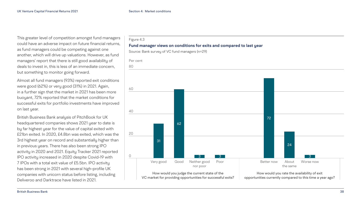

This greater level of competition amongst fund managers could have an adverse impact on future financial returns, as fund managers could be competing against one another, which will drive up valuations. However, as fund managers' report that there is still good availability of deals to invest in, this is less of an immediate concern, but something to monitor going forward.

Almost all fund managers (93%) reported exit conditions were good (62%) or very good (31%) in 2021. Again, in a further sign that the market in 2021 has been more buoyant, 72% reported that the market conditions for successful exits for portfolio investments have improved on last year.

British Business Bank analysis of PitchBook for UK headquartered companies shows 2021 year to date is by far highest year for the value of capital exited with £21bn exited. In 2020, £4.8bn was exited, which was the 3rd highest year on record and substantially higher than in previous years. There has also been strong IPO activity in 2020 and 2021. Equity Tracker 2021 reported IPO activity increased in 2020 despite Covid-19 with 7 IPOs with a total exit value of £5.5bn. IPO activity has been strong in 2021 with several high-profile UK companies with unicorn status before listing, including Deliveroo and Darktrace have listed in 2021.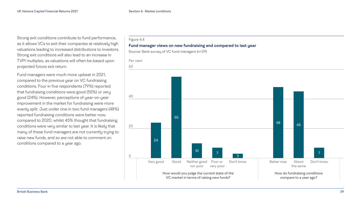Strong exit conditions contribute to fund performance, as it allows VCs to exit their companies at relatively high valuations leading to increased distributions to investors. Strong exit conditions will also lead to an increase in TVPI multiples, as valuations will often be based upon projected future exit return.

Fund managers were much more upbeat in 2021, compared to the previous year on VC fundraising conditions. Four in five respondents (79%) reported that fundraising conditions were good (55%) or very good (24%). However, perceptions of year-on-year improvement in the market for fundraising were more evenly split. Just under one in two fund managers (48%) reported fundraising conditions were better now, compared to 2020, whilst 45% thought that fundraising conditions were very similar to last year. It is likely that many of these fund managers are not currently trying to raise new funds, and so are not able to comment on conditions compared to a year ago.



### Figure 4.4 **Fund manager views on new fundraising and compared to last year**  Source: Bank survey of VC fund managers (n=29) 60 40 20 Per cent 0 How would you judge the current state of the VC market in terms of raising new funds? Very good Good Neither good nor poor Poor or very poor Don't know 24 55  $\frac{10}{7}$ 3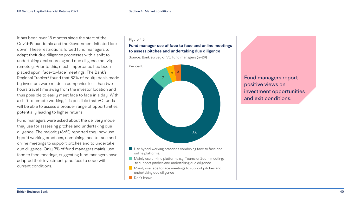<span id="page-39-0"></span>It has been over 18 months since the start of the Covid-19 pandemic and the Government initiated lock down. These restrictions forced fund managers to adapt their due diligence processes with a shift to undertaking deal sourcing and due diligence activity remotely. Prior to this, much importance had been placed upon 'face-to-face' meetings. The Bank's Regional Tracker<sup>[9](#page-49-0)</sup> found that 82% of equity deals made by investors were made in companies less than two hours travel time away from the investor location and thus possible to easily meet face to face in a day. With a shift to remote working, it is possible that VC funds will be able to assess a broader range of opportunities potentially leading to higher returns.

- Use hybrid working practices combining face to face and online platforms.
- Mainly use on-line platforms e.g. Teams or Zoom meetings to support pitches and undertaking due diligence
- Mainly use face to face meetings to support pitches and undertaking due diligence

**Don't know** 

Fund managers were asked about the delivery model they use for assessing pitches and undertaking due diligence. The majority (86%) reported they now use hybrid working practices, combining face to face and online meetings to support pitches and to undertake due diligence. Only 3% of fund managers mainly use face to face meetings, suggesting fund managers have adapted their investment practices to cope with current conditions.

Fund managers report positive views on investment opportunities and exit conditions.

#### Figure 4.5

### **Fund manager use of face to face and online meetings to assess pitches and undertaking due diligence**

Source: Bank survey of VC fund managers (n=29)

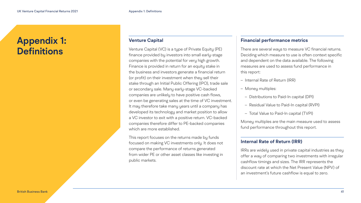### **Venture Capital**

Venture Capital (VC) is a type of Private Equity (PE) finance provided by investors into small early-stage companies with the potential for very high growth. Finance is provided in return for an equity stake in the business and investors generate a financial return (or profit) on their investment when they sell their stake through an Initial Public Offering (IPO), trade sale or secondary sale. Many early-stage VC-backed companies are unlikely to have positive cash flows, or even be generating sales at the time of VC investment. It may therefore take many years until a company has developed its technology and market position to allow a VC investor to exit with a positive return. VC-backed companies therefore differ to PE-backed companies which are more established.

This report focuses on the returns made by funds focused on making VC investments only. It does not compare the performance of returns generated from wider PE or other asset classes like investing in public markets.

### **Financial performance metrics**

There are several ways to measure VC financial returns. Deciding which measure to use is often context specific and dependent on the data available. The following measures are used to assess fund performance in this report:

– Internal Rate of Return (IRR)

- 
- Money multiples:
	-
	-
- 
- Distributions to Paid-In capital (DPI)
- Residual Value to Paid-In capital (RVPI)
- Total Value to Paid-In capital (TVPI)

Money multiples are the main measure used to assess fund performance throughout this report.

### **Internal Rate of Return (IRR)**

IRRs are widely used in private capital industries as they offer a way of comparing two investments with irregular cashflow timings and sizes. The IRR represents the discount rate at which the Net Present Value (NPV) of an investment's future cashflow is equal to zero.

### <span id="page-40-0"></span>**Appendix 1: Definitions**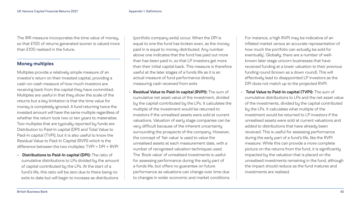<span id="page-41-0"></span>The IRR measure incorporates the time value of money, so that £100 of returns generated sooner is valued more than £100 realised in the future.

### **Money multiples**

Multiples provide a relatively simple measure of an investor's return on their invested capital, providing a cash-on-cash measure of how much investors are receiving back from the capital they have committed. Multiples are useful in that they show the scale of the returns but a key limitation is that the time value for money is completely ignored. A fund returning twice the invested amount will have the same multiple regardless of whether the return took two or ten years to materialise. Two multiples that are typically reported by funds are Distribution to Paid-In capital (DPI) and Total Value to Paid-In capital (TVPI), but it is also useful to know the Residual Value to Paid-In Capital (RVPI) which is the difference between the two multiples: TVPI = DPI + RVPI

– **Distributions to Paid-In capital (DPI):** The ratio of cumulative distributions to LPs divided by the amount of capital contributed by the LPs. At the start of a fund's life, this ratio will be zero due to there being no exits to date but will begin to increase as distributions

(portfolio company exits) occur. When the DPI is equal to one the fund has broken even, as the money paid in is equal to money distributed. Any number above one indicates that the fund has paid out more than has been paid in, so that LP investors get more than their initial capital back. This measure is therefore useful at the later stages of a funds life as it is an actual measure of fund performance directly measuring cash received from exits

– **Residual Value to Paid-In capital (RVPI):** The sum of cumulative net asset value of the investment, divided by the capital contributed by the LPs. It calculates the multiple of the investment would be returned to investors if the unrealised assets were sold at current valuations. Valuation of early stage companies can be very difficult because of the inherent uncertainty surrounding the prospects of the company. However, the concept of 'fair value' is used to value the unrealised assets at each measurement date, with a number of recognised valuation techniques used. The 'Book value' of unrealised investments is useful for assessing performance during the early part of a funds life, but offers no guarantee on future performance as valuations can change over time due to changes in wider economic and market conditions.

For instance, a high RVPI may be indicative of an inflated market versus an accurate representation of how much the portfolio can actually be sold for eventually'. Globally, there are a number of wellknown later stage unicorn businesses that have received funding at a lower valuation to their previous funding round (known as a down round). This will effectively lead to disappointed LP investors as the DPI does not match up to the projected RVPI.

– **Total Value to Paid-In capital (TVPI):** The sum of cumulative distributions to LPs and the net asset value of the investments, divided by the capital contributed by the LPs. It calculates what multiple of the investment would be returned to LP investors if the unrealised assets were sold at current valuations and added to distributions that have already been received. This is useful for assessing performance during the early part of a fund's life, like the RVPI measure. While this can provide a more complete picture on the returns from the fund, it is significantly impacted by the valuation that is placed on the unrealised investments remaining in the fund, although the impact should reduce as the fund matures and

investments are realised.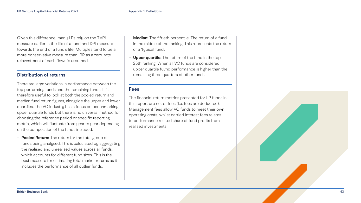<span id="page-42-0"></span>Given this difference, many LPs rely on the TVPI measure earlier in the life of a fund and DPI measure towards the end of a fund's life. Multiples tend to be a more conservative measure than IRR as a zero-rate reinvestment of cash flows is assumed.

### **Distribution of returns**

There are large variations in performance between the top performing funds and the remaining funds. It is therefore useful to look at both the pooled return and median fund return figures, alongside the upper and lower quartiles. The VC industry has a focus on benchmarking upper quartile funds but there is no universal method for choosing the reference period or specific reporting metric, which will fluctuate from year to year depending on the composition of the funds included.

– **Pooled Return:** The return for the total group of funds being analysed. This is calculated by aggregating the realised and unrealised values across all funds, which accounts for different fund sizes. This is the best measure for estimating total market returns as it includes the performance of all outlier funds.

- **Median:** The fiftieth percentile. The return of a fund in the middle of the ranking. This represents the return of a 'typical fund'.
- **Upper quartile:** The return of the fund in the top 25th ranking. When all VC funds are considered, upper quartile fuvnd performance is higher than the remaining three quarters of other funds.

### **Fees**

The financial return metrics presented for LP funds in this report are net of fees (I.e. fees are deducted). Management fees allow VC funds to meet their own operating costs, whilst carried interest fees relates to performance related share of fund profits from realised investments.

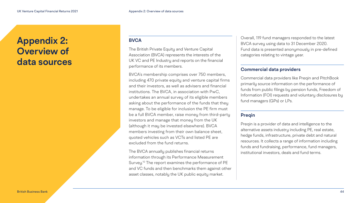### **BVCA**

The British Private Equity and Venture Capital Association (BVCA) represents the interests of the UK VC and PE Industry and reports on the financial performance of its members.

BVCA's membership comprises over 750 members, including 470 private equity and venture capital firms and their investors, as well as advisers and financial institutions. The BVCA, in association with PwC, undertakes an annual survey of its eligible members asking about the performance of the funds that they manage. To be eligible for inclusion the PE firm must be a full BVCA member, raise money from third-party investors and manage that money from the UK (although it may be invested elsewhere). BVCA members investing from their own balance sheet, quoted vehicles such as VCTs and listed PE are excluded from the fund returns.

The BVCA annually publishes financial returns information through its Performance Measurement Survey.<sup>10</sup> The report examines the performance of PE and VC funds and then benchmarks them against other asset classes, notably the UK public equity market.

Overall, 119 fund managers responded to the latest BVCA survey using data to 31 December 2020. Fund data is presented anonymously in pre-defined categories relating to vintage year.

### **Commercial data providers**

Commercial data providers like Preqin and PitchBook primarily source information on the performance of funds from public filings by pension funds, Freedom of Information (FOI) requests and voluntary disclosures by fund managers (GPs) or LPs.

### **Preqin**

Preqin is a provider of data and intelligence to the alternative assets industry including PE, real estate, hedge funds, infrastructure, private debt and natural resources. It collects a range of information including funds and fundraising, performance, fund managers, institutional investors, deals and fund terms.

### <span id="page-43-0"></span>**Appendix 2: Overview of data sources**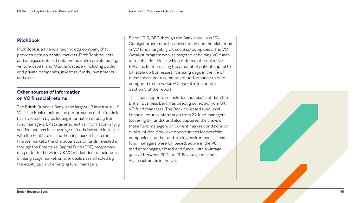### <span id="page-44-0"></span>**PitchBook**

PitchBook is a financial technology company that provides data on capital markets. PitchBook collects and analyses detailed data on the entire private equity, venture capital and M&A landscape - including public and private companies, investors, funds, investments and exits.

### **Other sources of information on VC financial returns**

The British Business Bank is the largest LP investor in UK VC.<sup>11</sup> The Bank monitors the performance of the funds it has invested in by collecting information directly from fund managers. LP status ensures this information is fully verified and has full coverage of funds invested in. In line with the Bank's role in addressing market failures in finance markets, the characteristics of funds invested in through the Enterprise Capital Fund (ECF) programme may differ to the wider UK VC market due to their focus on early stage market, smaller deals sizes affected by the equity gap and emerging fund managers.

Since 2013, BPC through the Bank's previous VC Catalyst programme has invested on commercial terms in VC funds targeting UK scale up companies. The VC Catalyst programme was targeted at helping VC funds to reach a first close, which differs to the objective BPC has for increasing the amount of patient capital to UK scale up businesses. It is early days in the life of these funds, but a summary of performance to date compared to the wider VC market is included in Section 3 of the report.

This year's report also includes the results of data the British Business Bank has directly collected from UK VC fund managers. The Bank collected fund level financial returns information from 29 fund managers (covering 37 funds), and also captured the views of these fund managers on current market conditions on quality of deal flow, exit opportunities for portfolio companies and the fund-raising environment. These fund managers were UK based, active in the VC market managing closed end funds, with a vintage year of between 2002 to 2019 vintage making VC investments in the UK.

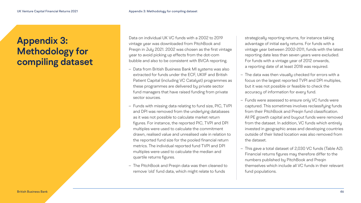### <span id="page-45-0"></span>**Appendix 3: Methodology for compiling dataset**

Data on individual UK VC funds with a 2002 to 2019 vintage year was downloaded from PitchBook and Preqin in July 2021. 2002 was chosen as the first vintage year to avoid picking up effects from the dot-com bubble and also to be consistent with BVCA reporting.

- Data from British Business Bank MI systems was also extracted for funds under the ECF, UKIIF and British Patient Capital (including VC Catalyst) programmes as these programmes are delivered by private sector fund managers that have raised funding from private sector sources.
- Funds with missing data relating to fund size, PIC, TVPI and DPI was removed from the underlying databases as it was not possible to calculate market return figures. For instance, the reported PIC, TVPI and DPI multiples were used to calculate the commitment drawn, realised value and unrealised vale in relation to the reported fund size for the pooled financial return metrics. The individual reported fund TVPI and DPI multiples were used to calculate the median and quartile returns figures.
- The PitchBook and Preqin data was then cleaned to remove 'old' fund data, which might relate to funds

strategically reporting returns, for instance taking advantage of initial early returns. For funds with a vintage year between 2002-2011, funds with the latest reporting date less than seven years were excluded. For funds with a vintage year of 2012 onwards, a reporting date of at least 2018 was required.

– The data was then visually checked for errors with a focus on the largest reported TVPI and DPI multiples, but it was not possible or feasible to check the accuracy of information for every fund.

– Funds were assessed to ensure only VC funds were captured. This sometimes involves reclassifying funds from their PitchBook and Preqin fund classification. All PE growth capital and buyout funds were removed from the dataset. In addition, VC funds which entirely invested in geographic areas and developing countries outside of their listed location was also removed from

– This gave a total dataset of 2,030 VC funds (Table A2). Financial returns figures may therefore differ to the numbers published by PitchBook and Preqin themselves which include all VC funds in their relevant

- 
- the dataset.
- fund populations.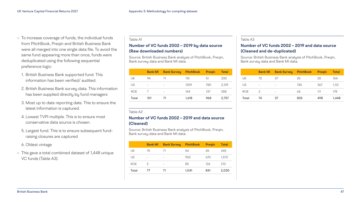#### Table A3

### **Number of VC funds 2002 – 2019 and data source (Cleaned and de-duplicated)**

Source: British Business Bank analysis of PitchBook, Preqin, Bank survey data and Bank MI data.

|            | <b>Bank MI</b> | <b>Bank Survey</b>       | <b>PitchBook</b> | <b>Pregin</b> | <b>Total</b> |
|------------|----------------|--------------------------|------------------|---------------|--------------|
| UK         | 72             | 37                       | 25               | 20            | 154          |
| US         |                |                          | 745              | 367           | 1,112        |
| <b>ROE</b> | 2              | $\overline{\phantom{0}}$ | 65               | 111           | 178          |
| Total      | 74             | 37                       | 835              | 498           | 1,448        |

Table A2

### **Number of VC funds 2002 – 2019 and data source (Cleaned)**

Source: British Business Bank analysis of PitchBook, Preqin, Bank survey data and Bank MI data.

|            | <b>Bank MI</b> | <b>Bank Survey</b> | <b>PitchBook</b> | <b>Pregin</b> | <b>Total</b> |
|------------|----------------|--------------------|------------------|---------------|--------------|
| UK         | 75             | $\prime$ 1         | 54               | 45            | 245          |
| US         |                | $\qquad \qquad$    | 902              | 670           | 1,572        |
| <b>ROE</b> | $\mathcal{P}$  | $\qquad \qquad -$  | 85               | 126           | 213          |
| Total      | 77             | 71                 | 1,041            | 841           | 2,030        |

#### Table A1

### **Number of VC funds 2002 – 2019 by data source (Raw downloaded numbers)**

Source: British Business Bank analysis of PitchBook, Preqin, Bank survey data and Bank MI data.

|  |            | <b>Bank MI</b> | <b>Bank Survey</b> | <b>PitchBook</b> | <b>Pregin</b> | <b>Total</b> |
|--|------------|----------------|--------------------|------------------|---------------|--------------|
|  | UK.        | 94             | 71                 | 115              | 51            | 330          |
|  | US         |                |                    | 1359             | 780           | 2,139        |
|  | <b>ROE</b> |                |                    | 144              | 137           | 288          |
|  | Total      | 101            | 71                 | 1,618            | 968           | 2,757        |
|  |            |                |                    |                  |               |              |

- To increase coverage of funds, the individual funds from PitchBook, Preqin and British Business Bank were all merged into one single data file. To avoid the same fund appearing more than once, funds were deduplicated using the following sequential preference logic:
	- 1. British Business Bank supported fund. This information has been verified/ audited.
	- 2. British Business Bank survey data. This information has been supplied directly by fund managers
	- 3. Most up to date reporting date. This to ensure the latest information is captured.
	- 4. Lowest TVPI multiple. This is to ensure most conservative data source is chosen.
	- 5. Largest fund. This is to ensure subsequent fundraising closures are captured
	- 6. Oldest vintage
- This gave a total combined dataset of 1,448 unique VC funds (Table A3).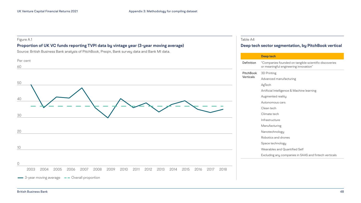### **Deep tech sector segmentation, by PitchBook vertical**

| 110 <b>0L</b>                                                                         |
|---------------------------------------------------------------------------------------|
| panies founded on tangible scientific discoveries<br>aningful engineering innovation" |
| inting                                                                                |
| nced manufacturing                                                                    |
| ۱h                                                                                    |
| ial Intelligence & Machine learning                                                   |
| ented reality                                                                         |
| omous cars                                                                            |
| tech                                                                                  |
| te tech                                                                               |
| tructure                                                                              |
| facturing                                                                             |
| echnology:                                                                            |
| ics and drones                                                                        |
| e technology                                                                          |
| ables and Quantified Self                                                             |
| ding any companies in SAAS and fintech verticals                                      |
|                                                                                       |
|                                                                                       |

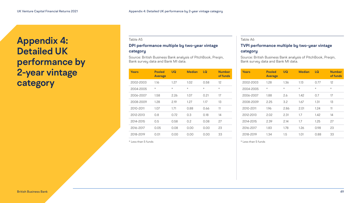Table A6

### **TVPI performance multiple by two-year vintage**

### **category**

Source: British Business Bank analysis of PitchBook, Preqin, Bank survey data and Bank MI data.

#### Table A5

### **DPI performance multiple by two-year vintage category**

Source: British Business Bank analysis of PitchBook, Preqin, Bank survey data and Bank MI data.

| Years     | <b>Pooled</b><br><b>Average</b> | UQ      | <b>Median</b> | LQ      | <b>Number</b><br>of funds |
|-----------|---------------------------------|---------|---------------|---------|---------------------------|
| 2002-2003 | 1.28                            | 1.36    | 1.13          | 0.77    | 12                        |
| 2004-2005 | $\star$                         | $\star$ | $\star$       | $\star$ | $\star$                   |
| 2006-2007 | 1.88                            | 2.6     | 1.42          | 0.7     | 17                        |
| 2008-2009 | 2.25                            | 3.2     | 1.67          | 1.31    | 13                        |
| 2010-2011 | 1.96                            | 2.86    | 2.01          | 1.24    | 11                        |
| 2012-2013 | 2.02                            | 2.31    | 1.7           | 1.42    | 14                        |
| 2014-2015 | 2.39                            | 2.14    | 1.7           | 1.25    | 27                        |
| 2016-2017 | 1.83                            | 1.78    | 1.26          | 0.98    | 23                        |
| 2018-2019 | 1.34                            | 1.5     | 1.01          | 0.88    | 33                        |

\* Less than 5 funds

| Years     | <b>Pooled</b><br><b>Average</b> | UQ      | <b>Median</b> | LQ      | <b>Number</b><br>of funds |
|-----------|---------------------------------|---------|---------------|---------|---------------------------|
| 2002-2003 | 1.16                            | 1.27    | 1.02          | 0.58    | $12 \overline{ }$         |
| 2004-2005 | $\star$                         | $\star$ | $\star$       | $\star$ | $\star$                   |
| 2006-2007 | 1.58                            | 2.26    | 1.07          | 0.21    | 17                        |
| 2008-2009 | 1.28                            | 2.19    | 1.27          | 1.17    | 13                        |
| 2010-2011 | 1.07                            | 1.71    | 0.88          | 0.66    | 11                        |
| 2012-2013 | 0.8                             | 0.72    | 0.3           | 0.18    | 14                        |
| 2014-2015 | 0.5                             | 0.58    | 0.2           | 0.08    | 27                        |
| 2016-2017 | 0.05                            | 0.08    | 0.00          | 0.00    | 23                        |
| 2018-2019 | 0.01                            | 0.00    | 0.00          | 0.00    | 33                        |

\* Less than 5 funds

### <span id="page-48-0"></span>**Appendix 4: Detailed UK performance by 2-year vintage category**

British Business Bank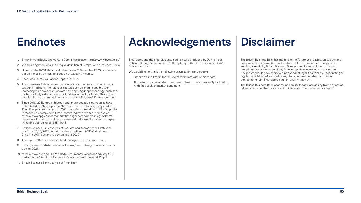# <span id="page-49-0"></span>**Endnotes**

- [1](#page-10-0). British Private Equity and Venture Capital Association,<https://www.bvca.co.uk/>
- [2.](#page-11-0) We are using PitchBook and Preqin's definition of Europe, which includes Russia.
- [3](#page-12-0). Note that the BVCA data is calculated as at 31 December 2020, so the time period is closely comparable but is not exactly the same.
- [4](#page-16-0). PitchBook US VC Valuations Report Q3 2021
- [5](#page-26-0). The coverage of life sciences funds in this report is likely to include funds targeting traditional life sciences sectors such as pharma and bio tech. Increasingly life sciences funds are now applying deep technology, such as AI, so there is likely to be an overlap with deep technology funds. These deep tech funds may be omitted from the current definition of life sciences funds.
- [6](#page-28-0). Since 2018, 22 European biotech and pharmaceutical companies have opted to list on Nasdaq or the New York Stock Exchange, compared with 13 on European exchanges. In 2021, more than three dozen U.S. companies in these two sectors have listed, compared with five U.K. companies. [https://www.spglobal.com/marketintelligence/en/news-insights/latest](https://www.spglobal.com/marketintelligence/en/news-insights/latest-news-headlines/british-biotechs-swerve-london-markets-for-nasdaq-s-investor-pool-ipo-rules-64544098)[news-headlines/british-biotechs-swerve-london-markets-for-nasdaq-s](https://www.spglobal.com/marketintelligence/en/news-insights/latest-news-headlines/british-biotechs-swerve-london-markets-for-nasdaq-s-investor-pool-ipo-rules-64544098)[investor-pool-ipo-rules-64544098](https://www.spglobal.com/marketintelligence/en/news-insights/latest-news-headlines/british-biotechs-swerve-london-markets-for-nasdaq-s-investor-pool-ipo-rules-64544098)
- [7.](#page-29-0) British Business Bank analysis of user defined search of the PitchBook platform (14/10/2021) found that there had been 209 VC deals worth £1.6bn in UK life sciences companies in 2020
- [8](#page-35-0). There were 104 UK based VC fund managers in the sample frame.
- [9.](#page-39-0) [https://www.british-business-bank.co.uk/research/regions-and-nations](https://www.british-business-bank.co.uk/research/regions-and-nations-tracker-2021/)[tracker-2021/](https://www.british-business-bank.co.uk/research/regions-and-nations-tracker-2021/)
- [10.](#page-43-0) [https://www.bvca.co.uk/Portals/0/Documents/Research/Industry%20](https://www.bvca.co.uk/Portals/0/Documents/Research/Industry%20Performance/BVCA-Performance-Measurement-Survey-2020.pdf) [Performance/BVCA-Performance-Measurement-Survey-2020.pdf](https://www.bvca.co.uk/Portals/0/Documents/Research/Industry%20Performance/BVCA-Performance-Measurement-Survey-2020.pdf)
- [11.](#page-44-0) British Business Bank analysis of PitchBook

# **Acknowledgements**

This report and the analysis contained in it was produced by Dan van der Schans, George Anderson and Anthony Gray in the British Business Bank's Economics team.

We would like to thank the following organisations and people:

- PitchBook and Preqin for the use of their data within this report.
- All the fund managers that contributed data to the survey and provided us with feedback on market conditions.

# **Disclaimer**

The British Business Bank has made every effort to use reliable, up to date and comprehensive information and analysis, but no representation, express or implied, is made by British Business Bank plc and its subsidiaries as to the completeness or accuracy of any facts or opinions contained in this report. Recipients should seek their own independent legal, financial, tax, accounting or regulatory advice before making any decision based on the information contained herein. This report is not investment advice.

The British Business Bank accepts no liability for any loss arising from any action taken or refrained from as a result of information contained in this report.